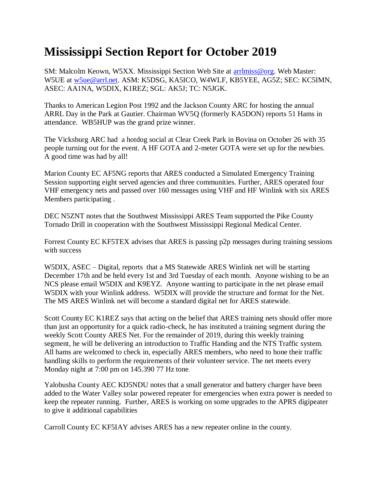## **Mississippi Section Report for October 2019**

SM: Malcolm Keown, W5XX. Mississippi Section Web Site at [arrlmiss@org.](mailto:arrlmiss@org) Web Master: W5UE at [w5ue@arrl.net.](mailto:w5ue@arrl.net) ASM: K5DSG, KA5ICO, W4WLF, KB5YEE, AG5Z; SEC: KC5IMN, ASEC: AA1NA, W5DIX, K1REZ; SGL: AK5J; TC: N5JGK.

Thanks to American Legion Post 1992 and the Jackson County ARC for hosting the annual ARRL Day in the Park at Gautier. Chairman WV5Q (formerly KA5DON) reports 51 Hams in attendance. WB5HUP was the grand prize winner.

The Vicksburg ARC had a hotdog social at Clear Creek Park in Bovina on October 26 with 35 people turning out for the event. A HF GOTA and 2-meter GOTA were set up for the newbies. A good time was had by all!

Marion County EC AF5NG reports that ARES conducted a Simulated Emergency Training Session supporting eight served agencies and three communities. Further, ARES operated four VHF emergency nets and passed over 160 messages using VHF and HF Winlink with six ARES Members participating .

DEC N5ZNT notes that the Southwest Mississippi ARES Team supported the Pike County Tornado Drill in cooperation with the Southwest Mississippi Regional Medical Center.

Forrest County EC KF5TEX advises that ARES is passing p2p messages during training sessions with success

W5DIX, ASEC – Digital, reports that a MS Statewide ARES Winlink net will be starting December 17th and be held every 1st and 3rd Tuesday of each month. Anyone wishing to be an NCS please email W5DIX and K9EYZ. Anyone wanting to participate in the net please email W5DIX with your Winlink address. W5DIX will provide the structure and format for the Net. The MS ARES Winlink net will become a standard digital net for ARES statewide.

Scott County EC K1REZ says that acting on the belief that ARES training nets should offer more than just an opportunity for a quick radio-check, he has instituted a training segment during the weekly Scott County ARES Net. For the remainder of 2019, during this weekly training segment, he will be delivering an introduction to Traffic Handing and the NTS Traffic system. All hams are welcomed to check in, especially ARES members, who need to hone their traffic handling skills to perform the requirements of their volunteer service. The net meets every Monday night at 7:00 pm on 145.390 77 Hz tone.

Yalobusha County AEC KD5NDU notes that a small generator and battery charger have been added to the Water Valley solar powered repeater for emergencies when extra power is needed to keep the repeater running. Further, ARES is working on some upgrades to the APRS digipeater to give it additional capabilities

Carroll County EC KF5IAY advises ARES has a new repeater online in the county.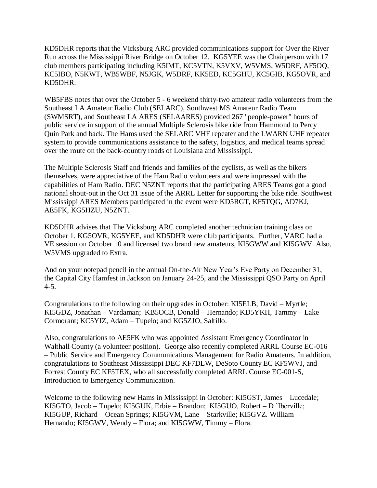KD5DHR reports that the Vicksburg ARC provided communications support for Over the River Run across the Mississippi River Bridge on October 12. KG5YEE was the Chairperson with 17 club members participating including K5IMT, KC5VTN, K5VXV, W5VMS, W5DRF, AF5OQ, KC5IBO, N5KWT, WB5WBF, N5JGK, W5DRF, KK5ED, KC5GHU, KC5GIB, KG5OVR, and KD5DHR.

WB5FBS notes that over the October 5 - 6 weekend thirty-two amateur radio volunteers from the Southeast LA Amateur Radio Club (SELARC), Southwest MS Amateur Radio Team (SWMSRT), and Southeast LA ARES (SELAARES) provided 267 "people-power" hours of public service in support of the annual Multiple Sclerosis bike ride from Hammond to Percy Quin Park and back. The Hams used the SELARC VHF repeater and the LWARN UHF repeater system to provide communications assistance to the safety, logistics, and medical teams spread over the route on the back-country roads of Louisiana and Mississippi.

The Multiple Sclerosis Staff and friends and families of the cyclists, as well as the bikers themselves, were appreciative of the Ham Radio volunteers and were impressed with the capabilities of Ham Radio. DEC N5ZNT reports that the participating ARES Teams got a good national shout-out in the Oct 31 issue of the ARRL Letter for supporting the bike ride. Southwest Mississippi ARES Members participated in the event were KD5RGT, KF5TQG, AD7KJ, AE5FK, KG5HZU, N5ZNT.

KD5DHR advises that The Vicksburg ARC completed another technician training class on October 1. KG5OVR, KG5YEE, and KD5DHR were club participants. Further, VARC had a VE session on October 10 and licensed two brand new amateurs, KI5GWW and KI5GWV. Also, W5VMS upgraded to Extra.

And on your notepad pencil in the annual On-the-Air New Year's Eve Party on December 31, the Capital City Hamfest in Jackson on January 24-25, and the Mississippi QSO Party on April 4-5.

Congratulations to the following on their upgrades in October: KI5ELB, David – Myrtle; KI5GDZ, Jonathan – Vardaman; KB5OCB, Donald – Hernando; KD5YKH, Tammy – Lake Cormorant; KC5YIZ, Adam – Tupelo; and KG5ZJO, Saltillo.

Also, congratulations to AE5FK who was appointed Assistant Emergency Coordinator in Walthall County (a volunteer position). George also recently completed ARRL Course EC-016 – Public Service and Emergency Communications Management for Radio Amateurs. In addition, congratulations to Southeast Mississippi DEC KF7DLW, DeSoto County EC KF5WVJ, and Forrest County EC KF5TEX, who all successfully completed ARRL Course EC-001-S, Introduction to Emergency Communication.

Welcome to the following new Hams in Mississippi in October: KI5GST, James – Lucedale; KI5GTO, Jacob – Tupelo; KI5GUK, Erbie – Brandon; KI5GUO, Robert – D 'Iberville; KI5GUP, Richard – Ocean Springs; KI5GVM, Lane – Starkville; KI5GVZ. William – Hernando; KI5GWV, Wendy – Flora; and KI5GWW, Timmy – Flora.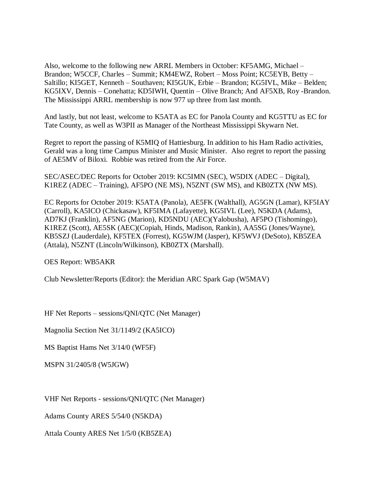Also, welcome to the following new ARRL Members in October: KF5AMG, Michael – Brandon; W5CCF, Charles – Summit; KM4EWZ, Robert – Moss Point; KC5EYB, Betty – Saltillo; KI5GET, Kenneth – Southaven; KI5GUK, Erbie – Brandon; KG5IVL, Mike – Belden; KG5IXV, Dennis – Conehatta; KD5IWH, Quentin – Olive Branch; And AF5XB, Roy -Brandon. The Mississippi ARRL membership is now 977 up three from last month.

And lastly, but not least, welcome to K5ATA as EC for Panola County and KG5TTU as EC for Tate County, as well as W3PII as Manager of the Northeast Mississippi Skywarn Net.

Regret to report the passing of K5MIQ of Hattiesburg. In addition to his Ham Radio activities, Gerald was a long time Campus Minister and Music Minister. Also regret to report the passing of AE5MV of Biloxi. Robbie was retired from the Air Force.

SEC/ASEC/DEC Reports for October 2019: KC5IMN (SEC), W5DIX (ADEC – Digital), K1REZ (ADEC – Training), AF5PO (NE MS), N5ZNT (SW MS), and KB0ZTX (NW MS).

EC Reports for October 2019: K5ATA (Panola), AE5FK (Walthall), AG5GN (Lamar), KF5IAY (Carroll), KA5ICO (Chickasaw), KF5IMA (Lafayette), KG5IVL (Lee), N5KDA (Adams), AD7KJ (Franklin), AF5NG (Marion), KD5NDU (AEC)(Yalobusha), AF5PO (Tishomingo), K1REZ (Scott), AE5SK (AEC)(Copiah, Hinds, Madison, Rankin), AA5SG (Jones/Wayne), KB5SZJ (Lauderdale), KF5TEX (Forrest), KG5WJM (Jasper), KF5WVJ (DeSoto), KB5ZEA (Attala), N5ZNT (Lincoln/Wilkinson), KB0ZTX (Marshall).

OES Report: WB5AKR

Club Newsletter/Reports (Editor): the Meridian ARC Spark Gap (W5MAV)

HF Net Reports – sessions/QNI/QTC (Net Manager)

Magnolia Section Net 31/1149/2 (KA5ICO)

MS Baptist Hams Net 3/14/0 (WF5F)

MSPN 31/2405/8 (W5JGW)

VHF Net Reports - sessions/QNI/QTC (Net Manager)

Adams County ARES 5/54/0 (N5KDA)

Attala County ARES Net 1/5/0 (KB5ZEA)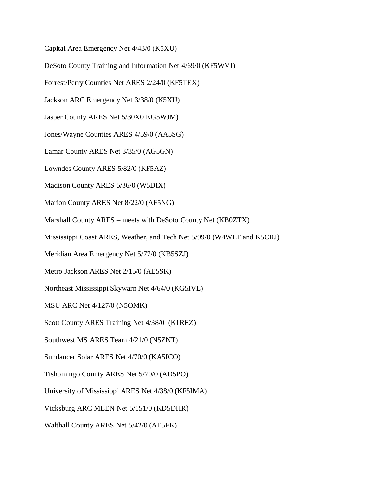Capital Area Emergency Net 4/43/0 (K5XU)

DeSoto County Training and Information Net 4/69/0 (KF5WVJ)

Forrest/Perry Counties Net ARES 2/24/0 (KF5TEX)

Jackson ARC Emergency Net 3/38/0 (K5XU)

Jasper County ARES Net 5/30X0 KG5WJM)

Jones/Wayne Counties ARES 4/59/0 (AA5SG)

Lamar County ARES Net 3/35/0 (AG5GN)

Lowndes County ARES 5/82/0 (KF5AZ)

Madison County ARES 5/36/0 (W5DIX)

Marion County ARES Net 8/22/0 (AF5NG)

Marshall County ARES – meets with DeSoto County Net (KB0ZTX)

Mississippi Coast ARES, Weather, and Tech Net 5/99/0 (W4WLF and K5CRJ)

Meridian Area Emergency Net 5/77/0 (KB5SZJ)

Metro Jackson ARES Net 2/15/0 (AE5SK)

Northeast Mississippi Skywarn Net 4/64/0 (KG5IVL)

MSU ARC Net 4/127/0 (N5OMK)

Scott County ARES Training Net 4/38/0 (K1REZ)

Southwest MS ARES Team 4/21/0 (N5ZNT)

Sundancer Solar ARES Net 4/70/0 (KA5ICO)

Tishomingo County ARES Net 5/70/0 (AD5PO)

University of Mississippi ARES Net 4/38/0 (KF5IMA)

Vicksburg ARC MLEN Net 5/151/0 (KD5DHR)

Walthall County ARES Net 5/42/0 (AE5FK)